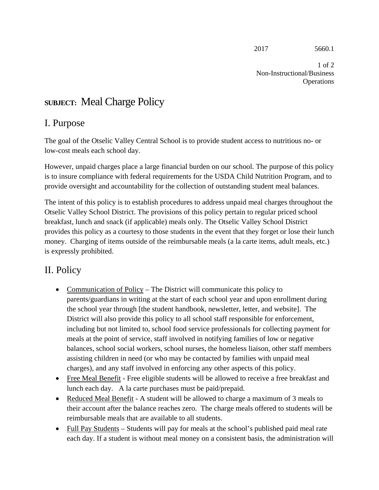2017 5660.1

1 of 2 Non-Instructional/Business Operations

# **SUBJECT:** Meal Charge Policy

### I. Purpose

The goal of the Otselic Valley Central School is to provide student access to nutritious no- or low-cost meals each school day.

However, unpaid charges place a large financial burden on our school. The purpose of this policy is to insure compliance with federal requirements for the USDA Child Nutrition Program, and to provide oversight and accountability for the collection of outstanding student meal balances.

The intent of this policy is to establish procedures to address unpaid meal charges throughout the Otselic Valley School District. The provisions of this policy pertain to regular priced school breakfast, lunch and snack (if applicable) meals only. The Otselic Valley School District provides this policy as a courtesy to those students in the event that they forget or lose their lunch money. Charging of items outside of the reimbursable meals (a la carte items, adult meals, etc.) is expressly prohibited.

## II. Policy

- Communication of Policy The District will communicate this policy to parents/guardians in writing at the start of each school year and upon enrollment during the school year through [the student handbook, newsletter, letter, and website]. The District will also provide this policy to all school staff responsible for enforcement, including but not limited to, school food service professionals for collecting payment for meals at the point of service, staff involved in notifying families of low or negative balances, school social workers, school nurses, the homeless liaison, other staff members assisting children in need (or who may be contacted by families with unpaid meal charges), and any staff involved in enforcing any other aspects of this policy.
- Free Meal Benefit Free eligible students will be allowed to receive a free breakfast and lunch each day. A la carte purchases must be paid/prepaid.
- Reduced Meal Benefit A student will be allowed to charge a maximum of 3 meals to their account after the balance reaches zero. The charge meals offered to students will be reimbursable meals that are available to all students.
- Full Pay Students Students will pay for meals at the school's published paid meal rate each day. If a student is without meal money on a consistent basis, the administration will